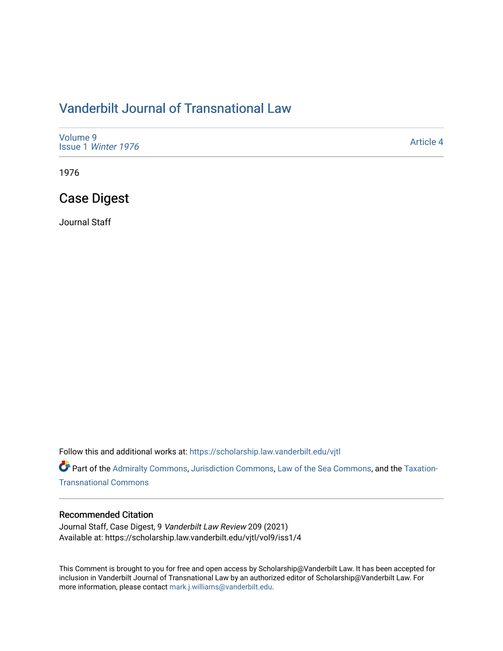# [Vanderbilt Journal of Transnational Law](https://scholarship.law.vanderbilt.edu/vjtl)

| Volume 9<br>Issue 1 Winter 1976 | Article 4 |
|---------------------------------|-----------|
|---------------------------------|-----------|

1976

# Case Digest

Journal Staff

Follow this and additional works at: [https://scholarship.law.vanderbilt.edu/vjtl](https://scholarship.law.vanderbilt.edu/vjtl?utm_source=scholarship.law.vanderbilt.edu%2Fvjtl%2Fvol9%2Fiss1%2F4&utm_medium=PDF&utm_campaign=PDFCoverPages) 

Part of the [Admiralty Commons](https://network.bepress.com/hgg/discipline/580?utm_source=scholarship.law.vanderbilt.edu%2Fvjtl%2Fvol9%2Fiss1%2F4&utm_medium=PDF&utm_campaign=PDFCoverPages), [Jurisdiction Commons](https://network.bepress.com/hgg/discipline/850?utm_source=scholarship.law.vanderbilt.edu%2Fvjtl%2Fvol9%2Fiss1%2F4&utm_medium=PDF&utm_campaign=PDFCoverPages), [Law of the Sea Commons](https://network.bepress.com/hgg/discipline/855?utm_source=scholarship.law.vanderbilt.edu%2Fvjtl%2Fvol9%2Fiss1%2F4&utm_medium=PDF&utm_campaign=PDFCoverPages), and the [Taxation-](https://network.bepress.com/hgg/discipline/883?utm_source=scholarship.law.vanderbilt.edu%2Fvjtl%2Fvol9%2Fiss1%2F4&utm_medium=PDF&utm_campaign=PDFCoverPages)[Transnational Commons](https://network.bepress.com/hgg/discipline/883?utm_source=scholarship.law.vanderbilt.edu%2Fvjtl%2Fvol9%2Fiss1%2F4&utm_medium=PDF&utm_campaign=PDFCoverPages)

## Recommended Citation

Journal Staff, Case Digest, 9 Vanderbilt Law Review 209 (2021) Available at: https://scholarship.law.vanderbilt.edu/vjtl/vol9/iss1/4

This Comment is brought to you for free and open access by Scholarship@Vanderbilt Law. It has been accepted for inclusion in Vanderbilt Journal of Transnational Law by an authorized editor of Scholarship@Vanderbilt Law. For more information, please contact [mark.j.williams@vanderbilt.edu](mailto:mark.j.williams@vanderbilt.edu).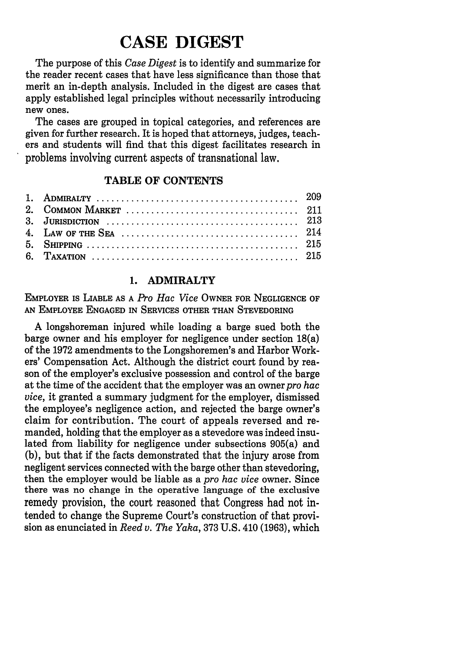# **CASE DIGEST**

The purpose of this *Case Digest* is to identify and summarize for the reader recent cases that have less significance than those that merit an in-depth analysis. Included in the digest are cases that apply established legal principles without necessarily introducing new ones.

The cases are grouped in topical categories, and references are given for further research. It is hoped that attorneys, judges, teachers and students will find that this digest facilitates research in problems involving current aspects of transnational law.

# TABLE **OF CONTENTS**

# **1. ADMIRALTY**

**EMPLOYER is LIABLE AS A** *Pro Hac Vice* **OWNER FOR NEGLIGENCE OF AN EMPLOYEE ENGAGED IN SERVICES OTHER THAN STEVEDORING**

**A** longshoreman injured while loading a barge sued both the barge owner and his employer for negligence under section 18(a) of the **1972** amendments to the Longshoremen's and Harbor Workers' Compensation Act. Although the district court found **by** reason of the employer's exclusive possession and control of the barge at the time of the accident that the employer was an owner *pro hac vice,* it granted a summary judgment for the employer, dismissed the employee's negligence action, and rejected the barge owner's claim for contribution. The court of appeals reversed and remanded, holding that the employer as a stevedore was indeed insulated from liability for negligence under subsections 905(a) and **(b),** but that if the facts demonstrated that the injury arose from negligent services connected with the barge other than stevedoring, then the employer would be liable as a *pro hac vice* owner. Since there was no change in the operative language of the exclusive remedy provision, the court reasoned that Congress had not intended to change the Supreme Court's construction of that provision as enunciated in *Reed v. The Yaka,* **373 U.S.** 410 **(1963),** which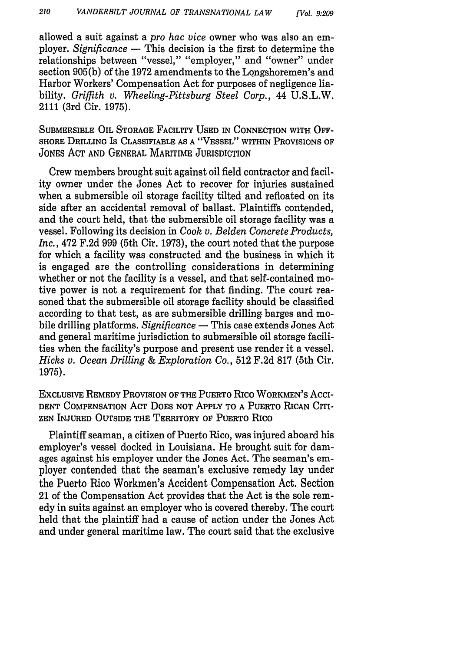allowed a suit against a *pro hac vice* owner who was also an employer. *Significance* **-** This decision is the first to determine the relationships between "vessel," "employer," and "owner" under section 905(b) of the 1972 amendments to the Longshoremen's and Harbor Workers' Compensation Act for purposes of negligence liability. *Griffith v. Wheeling-Pittsburg Steel Corp.,* 44 U.S.L.W. 2111 (3rd Cir. 1975).

SUBMERSIBLE OIL STORAGE FACILITY **USED** IN **CONNECTION** WITH OFF-SHORE DRILLING Is CLASSIFIABLE **AS A "VESSEL"** WITHIN PROVISIONS OF JONES ACT AND GENERAL MARITIME JURISDICTION

Crew members brought suit against oil field contractor and facility owner under the Jones Act to recover for injuries sustained when a submersible oil storage facility tilted and refloated on its side after an accidental removal of ballast. Plaintiffs contended, and the court held, that the submersible oil storage facility was a vessel. Following its decision in *Cook v. Belden Concrete Products, Inc.,* 472 F.2d 999 (5th Cir. 1973), the court noted that the purpose for which a facility was constructed and the business in which it is engaged are the controlling considerations in determining whether or not the facility is a vessel, and that self-contained motive power is not a requirement for that finding. The court reasoned that the submersible oil storage facility should be classified according to that test, as are submersible drilling barges and mobile drilling platforms. *Significance* - This case extends Jones Act and general maritime jurisdiction to submersible oil storage facilities when the facility's purpose and present use render it a vessel. *Hicks v. Ocean Drilling & Exploration Co.,* 512 F.2d 817 (5th Cir. 1975).

ExCLUsIvE REMEDY PROVISION OF THE PUERTO Rico WORKMEN'S Acci-**DENT COMPENSATION** ACT DOES NOT APPLY TO **A** PUERTO RICAN CITI-**ZEN** INJURED **OUTSIDE** THE TERRITORY OF PUERTO Rico

Plaintiff seaman, a citizen of Puerto Rico, was injured aboard his employer's vessel docked in Louisiana. He brought suit for damages against his employer under the Jones Act. The seaman's employer contended that the seaman's exclusive remedy lay under the Puerto Rico Workmen's Accident Compensation Act. Section 21 of the Compensation Act provides that the Act is the sole remedy in suits against an employer who is covered thereby. The court held that the plaintiff had a cause of action under the Jones Act and under general maritime law. The court said that the exclusive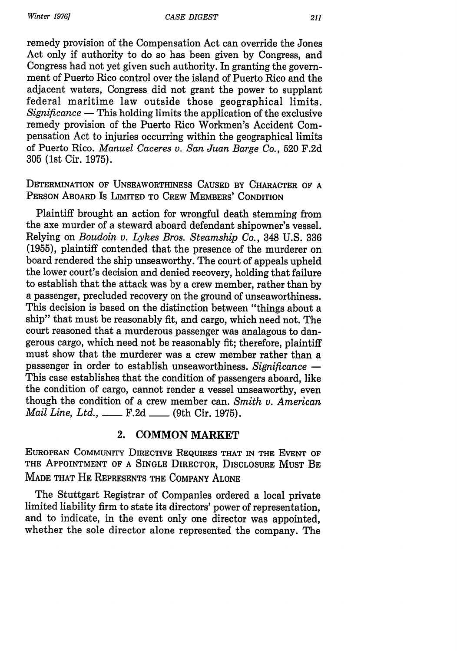*Winter 1976]*

remedy provision of the Compensation Act can override the Jones Act only if authority to do so has been given by Congress, and Congress had not yet given such authority. In granting the government of Puerto Rico control over the island of Puerto Rico and the adjacent waters, Congress did not grant the power to supplant federal maritime law outside those geographical limits. *Significance* - This holding limits the application of the exclusive remedy provision of the Puerto Rico Workmen's Accident Compensation Act to injuries occurring within the geographical limits of Puerto Rico. *Manuel Caceres v. San Juan Barge Co.,* 520 F.2d 305 (1st Cir. 1975).

DETERMINATION OF UNSEAWORTHINESS **CAUSED** BY CHARACTER OF **A** PERSON ABOARD Is LIMITED TO CREW MEMBERS' CONDITION

Plaintiff brought an action for wrongful death stemming from the axe murder of a steward aboard defendant shipowner's vessel. Relying on *Boudoin v. Lykes Bros. Steamship Co.,* 348 U.S. 336 (1955), plaintiff contended that the presence of the murderer on board rendered the ship unseaworthy. The court of appeals upheld the lower court's decision and denied recovery, holding that failure to establish that the attack was by a crew member, rather than by a passenger, precluded recovery on the ground of unseaworthiness. This decision is based on the distinction between "things about a ship" that must be reasonably fit, and cargo, which need not. The court reasoned that a murderous passenger was analagous to dangerous cargo, which need not be reasonably fit; therefore, plaintiff must show that the murderer was a crew member rather than a passenger in order to establish unseaworthiness. Significance -This case establishes that the condition of passengers aboard, like the condition of cargo, cannot render a vessel unseaworthy, even though the condition of a crew member can. *Smith v. American Mail Line, Ltd.,* \_\_\_\_ F.2d \_\_\_\_ (9th Cir. 1975).

# **2. COMMON MARKET**

EUROPEAN COMMUNITY DIRECTIVE REQUIRES THAT **IN** THE EVENT OF THE APPOINTMENT OF **A** SINGLE DIRECTOR, DISCLOSURE MUST BE **MADE** THAT HE REPRESENTS THE COMPANY ALONE

The Stuttgart Registrar of Companies ordered a local private limited liability firm to state its directors' power of representation, and to indicate, in the event only one director was appointed, whether the sole director alone represented the company. The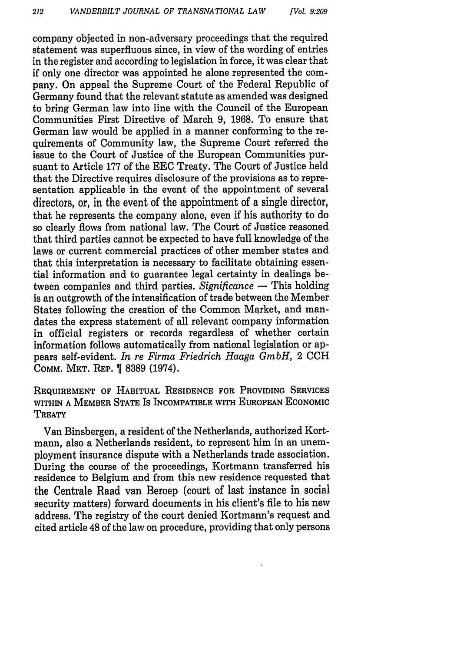company objected in non-adversary proceedings that the required statement was superfluous since, in view of the wording of entries in the register and according to legislation in force, it was clear that if only one director was appointed he alone represented the company. On appeal the Supreme Court of the Federal Republic of Germany found that the relevant statute as amended was designed to bring German law into line with the Council of the European Communities First Directive of March 9, 1968. To ensure that German law would be applied in a manner conforming to the requirements of Community law, the Supreme Court referred the issue to the Court of Justice of the European Communities pursuant to Article 177 of the EEC Treaty. The Court of Justice held that the Directive requires disclosure of the provisions as to representation applicable in the event of the appointment of several directors, or, in the event of the appointment of a single director, that he represents the company alone, even if his authority to do so clearly flows from national law. The Court of Justice reasoned that third parties cannot be expected to have full knowledge of the laws or current commercial practices of other member states and that this interpretation is necessary to facilitate obtaining essential information and to guarantee legal certainty in dealings between companies and third parties. *Significance* **-** This holding is an outgrowth of the intensification of trade between the Member States following the creation of the Common Market, and mandates the express statement of all relevant company information in official registers or records regardless of whether certain information follows automatically from national legislation or appears self-evident. *In re Firma Friedrich Haaga GmbH,* 2 CCH COMM. MKT. REP. 1 8389 (1974).

REQUIREMENT OF HABITUAL RESIDENCE FOR PROVIDING SERVICES WITHIN A MEMBER STATE IS INCOMPATIBLE WITH EUROPEAN ECONOMIC **TREATY** 

Van Binsbergen, a resident of the Netherlands, authorized Kortmann, also a Netherlands resident, to represent him in an unemployment insurance dispute with a Netherlands trade association. During the course of the proceedings, Kortmann transferred his residence to Belgium and from this new residence requested that the Centrale Raad van Beroep (court of last instance in social security matters) forward documents in his client's file to his new address. The registry of the court denied Kortmann's request and cited article 48 of the law on procedure, providing that only persons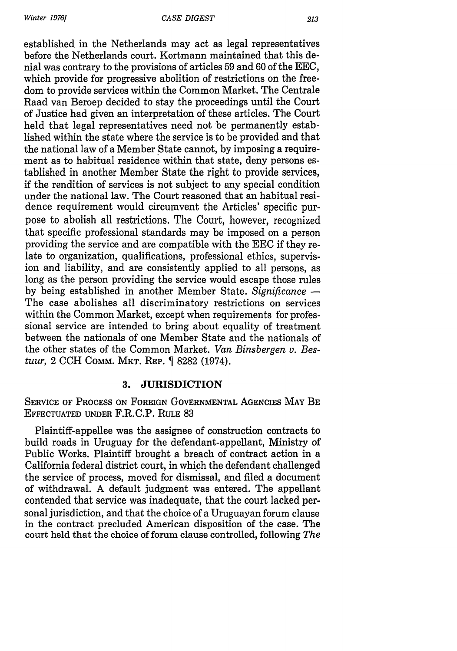*Winter 19761*

established in the Netherlands may act as legal representatives before the Netherlands court. Kortmann maintained that this denial was contrary to the provisions of articles 59 and 60 of the EEC, which provide for progressive abolition of restrictions on the freedom to provide services within the Common Market. The Centrale Raad van Beroep decided to stay the proceedings until the Court of Justice had given an interpretation of these articles. The Court held that legal representatives need not be permanently established within the state where the service is to be provided and that the national law of a Member State cannot, by imposing a requirement as to habitual residence within that state, deny persons established in another Member State the right to provide services, if the rendition of services is not subject to any special condition under the national law. The Court reasoned that an habitual residence requirement would circumvent the Articles' specific purpose to abolish all restrictions. The Court, however, recognized that specific professional standards may be imposed on a person providing the service and are compatible with the EEC if they relate to organization, qualifications, professional ethics, supervision and liability, and are consistently applied to all persons, as long as the person providing the service would escape those rules by being established in another Member State. *Significance* **-** The case abolishes all discriminatory restrictions on services within the Common Market, except when requirements for professional service are intended to bring about equality of treatment between the nationals of one Member State and the nationals of the other states of the Common Market. *Van Binsbergen v. Bestuur*, 2 CCH COMM. MKT. REP. **[8282 (1974)**.

## **3. JURISDICTION**

SERVICE OF **PROCESS ON** FOREIGN **GOVERNMENTAL AGENCIES** MAY BE EFFECTUATED **UNDER** F.R.C.P. RULE 83

Plaintiff-appellee was the assignee of construction contracts to build roads in Uruguay for the defendant-appellant, Ministry of Public Works. Plaintiff brought a breach of contract action in a California federal district court, in which the defendant challenged the service of process, moved for dismissal, and filed a document of withdrawal. A default judgment was entered. The appellant contended that service was inadequate, that the court lacked personal jurisdiction, and that the choice of a Uruguayan forum clause in the contract precluded American disposition of the case. The court held that the choice of forum clause controlled, following *The*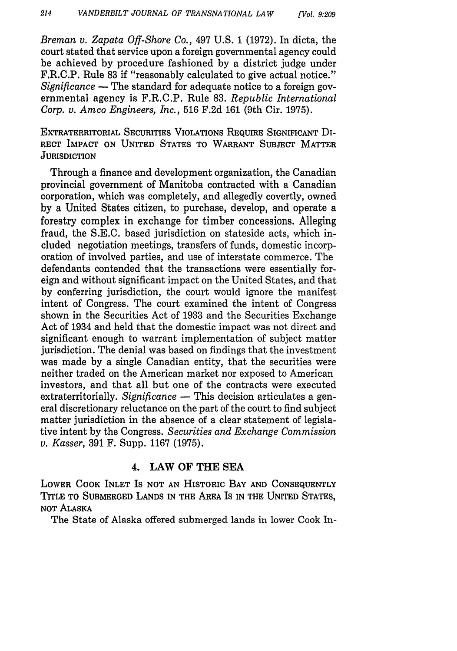*Breman v. Zapata Off-Shore Co.,* 497 U.S. 1 (1972). In dicta, the court stated that service upon a foreign governmental agency could be achieved by procedure fashioned by a district judge under F.R.C.P. Rule 83 if "reasonably calculated to give actual notice." *Significance* **-** The standard for adequate notice to a foreign governmental agency is F.R.C.P. Rule 83. *Republic International Corp. v. Amco Engineers, Inc.,* 516 F.2d 161 (9th Cir. 1975).

EXTRATERRITORIAL SECURITIES VIOLATIONS REQUIRE SIGNIFICANT Di-RECT IMPACT ON UNITED STATES TO WARRANT SUBJECT MATTER **JURISDICTION** 

Through a finance and development organization, the Canadian provincial government of Manitoba contracted with a Canadian corporation, which was completely, and allegedly covertly, owned by a United States citizen, to purchase, develop, and operate a forestry complex in exchange for timber concessions. Alleging fraud, the S.E.C. based jurisdiction on stateside acts, which included negotiation meetings, transfers of funds, domestic incorporation of involved parties, and use of interstate commerce. The defendants contended that the transactions were essentially foreign and without significant impact on the United States, and that by conferring jurisdiction, the court would ignore the manifest intent of Congress. The court examined the intent of Congress shown in the Securities Act of 1933 and the Securities Exchange Act of 1934 and held that the domestic impact was not direct and significant enough to warrant implementation of subject matter jurisdiction. The denial was based on findings that the investment was made by a single Canadian entity, that the securities were neither traded on the American market nor exposed to American investors, and that all but one of the contracts were executed extraterritorially. *Significance* - This decision articulates a general discretionary reluctance on the part of the court to find subject matter jurisdiction in the absence of a clear statement of legislative intent by the Congress. *Securities and Exchange Commission v. Kasser,* 391 F. Supp. 1167 (1975).

### 4. LAW OF THE **SEA**

LOWER COOK INLET IS NOT AN HISTORIC BAY **AND** CONSEQUENTLY TITLE TO SUBMERGED LANDS IN THE AREA IS IN THE UNITED STATES, NOT ALASKA

The State of Alaska offered submerged lands in lower Cook In-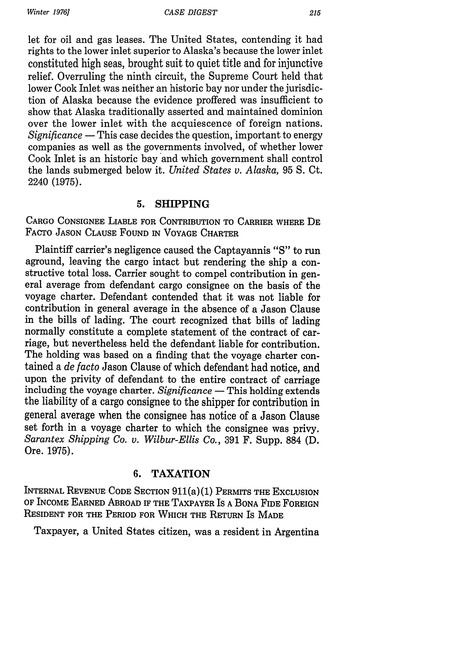let for oil and gas leases. The United States, contending it had rights to the lower inlet superior to Alaska's because the lower inlet constituted high seas, brought suit to quiet title and for injunctive relief. Overruling the ninth circuit, the Supreme Court held that lower Cook Inlet was neither an historic bay nor under the jurisdiction of Alaska because the evidence proffered was insufficient to show that Alaska traditionally asserted and maintained dominion over the lower inlet with the acquiescence of foreign nations. *Significance* **-** This case decides the question, important to energy companies as well as the governments involved, of whether lower Cook Inlet is an historic bay and which government shall control the lands submerged below it. *United States v. Alaska,* 95 **S.** Ct. 2240 (1975).

### **5. SHIPPING**

CARGO CONSIGNEE LIABLE FOR CONTRIBUTION TO CARRIER WHERE DE FACTO JASON CLAUSE FOUND **IN** VOYAGE CHARTER

Plaintiff carrier's negligence caused the Captayannis **"S"** to run aground, leaving the cargo intact but rendering the ship a constructive total loss. Carrier sought to compel contribution in general average from defendant cargo consignee on the basis of the voyage charter. Defendant contended that it was not liable for contribution in general average in the absence of a Jason Clause in the bills of lading. The court recognized that bills of lading normally constitute a complete statement of the contract of carriage, but nevertheless held the defendant liable for contribution. The holding was based on a finding that the voyage charter contained a *de facto* Jason Clause of which defendant had notice, and upon the privity of defendant to the entire contract of carriage including the voyage charter. *Significance* **-** This holding extends the liability of a cargo consignee to the shipper for contribution in general average when the consignee has notice of a Jason Clause set forth in a voyage charter to which the consignee was privy. *Sarantex Shipping Co. v. Wilbur-Ellis Co.,* 391 F. Supp. 884 **(D.** Ore. 1975).

# **6.** TAXATION

INTERNAL **REVENUE** CODE SECTION 911(a)(1) PERMrrs THE EXCLUSION OF INCOME EARNED ABROAD IF THE TAXPAYER IS A BONA FIDE FOREIGN **RESIDENT** FOR THE PERIOD FOR WHICH THE RETURN Is **MADE**

Taxpayer, a United States citizen, was a resident in Argentina